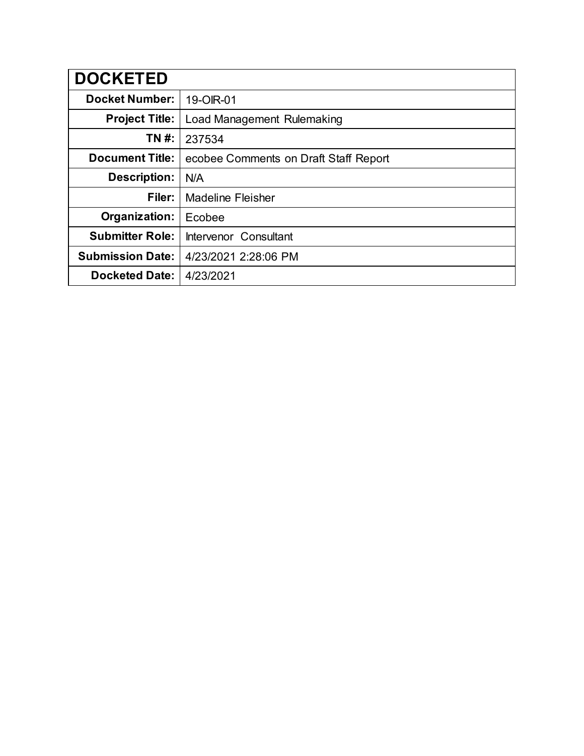| <b>DOCKETED</b>         |                                       |
|-------------------------|---------------------------------------|
| <b>Docket Number:</b>   | 19-OIR-01                             |
| <b>Project Title:</b>   | Load Management Rulemaking            |
| TN #:                   | 237534                                |
| <b>Document Title:</b>  | ecobee Comments on Draft Staff Report |
| Description:            | N/A                                   |
| Filer:                  | <b>Madeline Fleisher</b>              |
| Organization:           | Ecobee                                |
| <b>Submitter Role:</b>  | Intervenor Consultant                 |
| <b>Submission Date:</b> | 4/23/2021 2:28:06 PM                  |
| <b>Docketed Date:</b>   | 4/23/2021                             |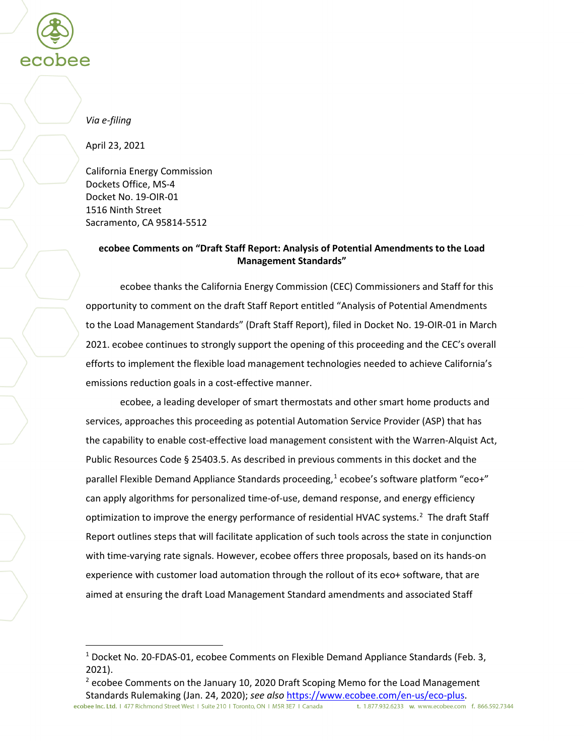

#### *Via e-filing*

April 23, 2021

California Energy Commission Dockets Office, MS-4 Docket No. 19-OIR-01 1516 Ninth Street Sacramento, CA 95814-5512

#### **ecobee Comments on "Draft Staff Report: Analysis of Potential Amendments to the Load Management Standards"**

ecobee thanks the California Energy Commission (CEC) Commissioners and Staff for this opportunity to comment on the draft Staff Report entitled "Analysis of Potential Amendments to the Load Management Standards" (Draft Staff Report), filed in Docket No. 19-OIR-01 in March 2021. ecobee continues to strongly support the opening of this proceeding and the CEC's overall efforts to implement the flexible load management technologies needed to achieve California's emissions reduction goals in a cost-effective manner.

ecobee, a leading developer of smart thermostats and other smart home products and services, approaches this proceeding as potential Automation Service Provider (ASP) that has the capability to enable cost-effective load management consistent with the Warren-Alquist Act, Public Resources Code § 25403.5. As described in previous comments in this docket and the parallel Flexible Demand Appliance Standards proceeding,<sup>[1](#page-1-0)</sup> ecobee's software platform "eco+" can apply algorithms for personalized time-of-use, demand response, and energy efficiency optimization to improve the energy performance of residential HVAC systems.<sup>[2](#page-1-1)</sup> The draft Staff Report outlines steps that will facilitate application of such tools across the state in conjunction with time-varying rate signals. However, ecobee offers three proposals, based on its hands-on experience with customer load automation through the rollout of its eco+ software, that are aimed at ensuring the draft Load Management Standard amendments and associated Staff

<sup>&</sup>lt;sup>1</sup> Docket No. 20-FDAS-01, ecobee Comments on Flexible Demand Appliance Standards (Feb. 3, 2021).

<span id="page-1-1"></span><span id="page-1-0"></span> $2$  ecobee Comments on the January 10, 2020 Draft Scoping Memo for the Load Management Standards Rulemaking (Jan. 24, 2020); *see also* [https://www.ecobee.com/en-us/eco-plus.](https://www.ecobee.com/en-us/eco-plus)<br> **ecobee Inc. Ltd.** 1 477 Richmond Street West 1 Suite 210 1 Toronto, ON 1 MSR 3E7 1 Canada t. 1.877.932.6233 w. www.ecobee.com f. 866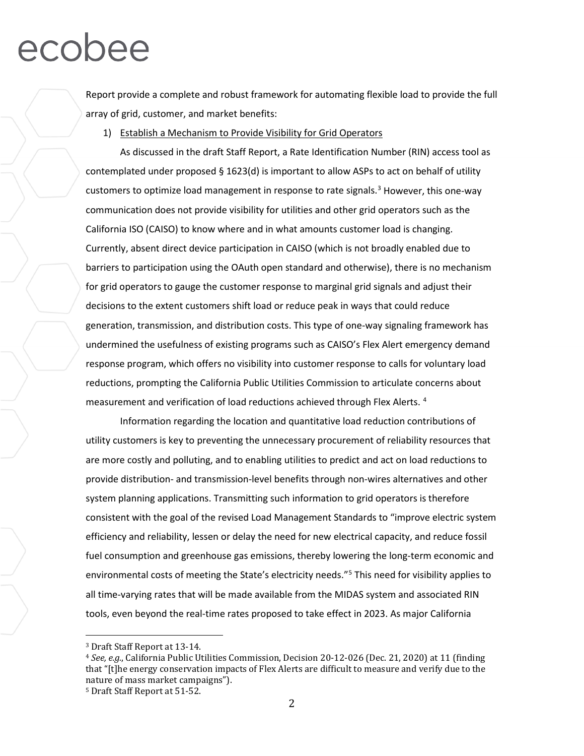Report provide a complete and robust framework for automating flexible load to provide the full array of grid, customer, and market benefits:

1) Establish a Mechanism to Provide Visibility for Grid Operators

As discussed in the draft Staff Report, a Rate Identification Number (RIN) access tool as contemplated under proposed  $\S 1623(d)$  is important to allow ASPs to act on behalf of utility customers to optimize load management in response to rate signals.<sup>[3](#page-2-0)</sup> However, this one-way communication does not provide visibility for utilities and other grid operators such as the California ISO (CAISO) to know where and in what amounts customer load is changing. Currently, absent direct device participation in CAISO (which is not broadly enabled due to barriers to participation using the OAuth open standard and otherwise), there is no mechanism for grid operators to gauge the customer response to marginal grid signals and adjust their decisions to the extent customers shift load or reduce peak in ways that could reduce generation, transmission, and distribution costs. This type of one-way signaling framework has undermined the usefulness of existing programs such as CAISO's Flex Alert emergency demand response program, which offers no visibility into customer response to calls for voluntary load reductions, prompting the California Public Utilities Commission to articulate concerns about measurement and verification of load reductions achieved through Flex Alerts. [4](#page-2-1)

Information regarding the location and quantitative load reduction contributions of utility customers is key to preventing the unnecessary procurement of reliability resources that are more costly and polluting, and to enabling utilities to predict and act on load reductions to provide distribution- and transmission-level benefits through non-wires alternatives and other system planning applications. Transmitting such information to grid operators is therefore consistent with the goal of the revised Load Management Standards to "improve electric system efficiency and reliability, lessen or delay the need for new electrical capacity, and reduce fossil fuel consumption and greenhouse gas emissions, thereby lowering the long-term economic and environmental costs of meeting the State's electricity needs."[5](#page-2-2) This need for visibility applies to all time-varying rates that will be made available from the MIDAS system and associated RIN tools, even beyond the real-time rates proposed to take effect in 2023. As major California

 <sup>3</sup> Draft Staff Report at 13-14.

<span id="page-2-1"></span><span id="page-2-0"></span><sup>4</sup> *See, e.g.*, California Public Utilities Commission, Decision 20-12-026 (Dec. 21, 2020) at 11 (finding that "[t]he energy conservation impacts of Flex Alerts are difficult to measure and verify due to the nature of mass market campaigns").

<span id="page-2-2"></span><sup>5</sup> Draft Staff Report at 51-52.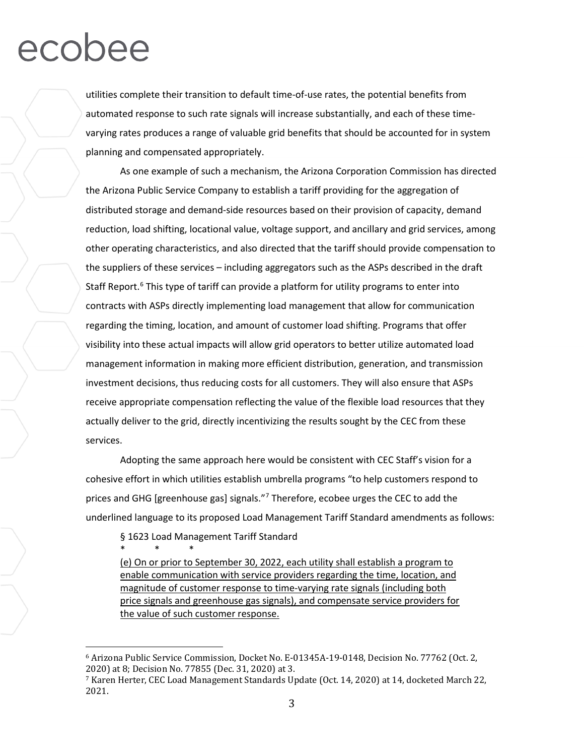utilities complete their transition to default time-of-use rates, the potential benefits from automated response to such rate signals will increase substantially, and each of these timevarying rates produces a range of valuable grid benefits that should be accounted for in system planning and compensated appropriately.

As one example of such a mechanism, the Arizona Corporation Commission has directed the Arizona Public Service Company to establish a tariff providing for the aggregation of distributed storage and demand-side resources based on their provision of capacity, demand reduction, load shifting, locational value, voltage support, and ancillary and grid services, among other operating characteristics, and also directed that the tariff should provide compensation to the suppliers of these services – including aggregators such as the ASPs described in the draft Staff Report.<sup>[6](#page-3-0)</sup> This type of tariff can provide a platform for utility programs to enter into contracts with ASPs directly implementing load management that allow for communication regarding the timing, location, and amount of customer load shifting. Programs that offer visibility into these actual impacts will allow grid operators to better utilize automated load management information in making more efficient distribution, generation, and transmission investment decisions, thus reducing costs for all customers. They will also ensure that ASPs receive appropriate compensation reflecting the value of the flexible load resources that they actually deliver to the grid, directly incentivizing the results sought by the CEC from these services.

Adopting the same approach here would be consistent with CEC Staff's vision for a cohesive effort in which utilities establish umbrella programs "to help customers respond to prices and GHG [greenhouse gas] signals."<sup>[7](#page-3-1)</sup> Therefore, ecobee urges the CEC to add the underlined language to its proposed Load Management Tariff Standard amendments as follows:

§ 1623 Load Management Tariff Standard

\* \* \* (e) On or prior to September 30, 2022, each utility shall establish a program to enable communication with service providers regarding the time, location, and magnitude of customer response to time-varying rate signals (including both price signals and greenhouse gas signals), and compensate service providers for the value of such customer response.

<span id="page-3-0"></span> <sup>6</sup> Arizona Public Service Commission, Docket No. E-01345A-19-0148, Decision No. 77762 (Oct. 2, 2020) at 8; Decision No. 77855 (Dec. 31, 2020) at 3.

<span id="page-3-1"></span><sup>7</sup> Karen Herter, CEC Load Management Standards Update (Oct. 14, 2020) at 14, docketed March 22, 2021.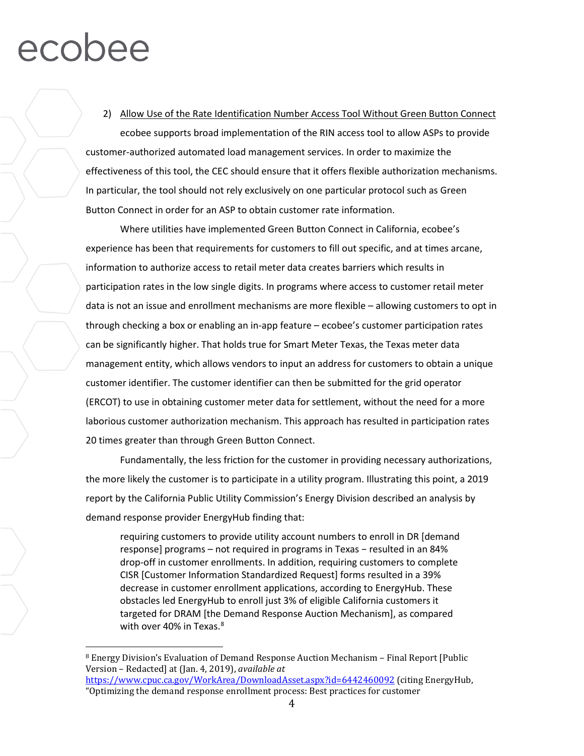#### 2) Allow Use of the Rate Identification Number Access Tool Without Green Button Connect

ecobee supports broad implementation of the RIN access tool to allow ASPs to provide customer-authorized automated load management services. In order to maximize the effectiveness of this tool, the CEC should ensure that it offers flexible authorization mechanisms. In particular, the tool should not rely exclusively on one particular protocol such as Green Button Connect in order for an ASP to obtain customer rate information.

Where utilities have implemented Green Button Connect in California, ecobee's experience has been that requirements for customers to fill out specific, and at times arcane, information to authorize access to retail meter data creates barriers which results in participation rates in the low single digits. In programs where access to customer retail meter data is not an issue and enrollment mechanisms are more flexible – allowing customers to opt in through checking a box or enabling an in-app feature – ecobee's customer participation rates can be significantly higher. That holds true for Smart Meter Texas, the Texas meter data management entity, which allows vendors to input an address for customers to obtain a unique customer identifier. The customer identifier can then be submitted for the grid operator (ERCOT) to use in obtaining customer meter data for settlement, without the need for a more laborious customer authorization mechanism. This approach has resulted in participation rates 20 times greater than through Green Button Connect.

Fundamentally, the less friction for the customer in providing necessary authorizations, the more likely the customer is to participate in a utility program. Illustrating this point, a 2019 report by the California Public Utility Commission's Energy Division described an analysis by demand response provider EnergyHub finding that:

requiring customers to provide utility account numbers to enroll in DR [demand response] programs – not required in programs in Texas – resulted in an 84% drop-off in customer enrollments. In addition, requiring customers to complete CISR [Customer Information Standardized Request] forms resulted in a 39% decrease in customer enrollment applications, according to EnergyHub. These obstacles led EnergyHub to enroll just 3% of eligible California customers it targeted for DRAM [the Demand Response Auction Mechanism], as compared with over 40% in Texas.<sup>[8](#page-4-0)</sup>

<span id="page-4-0"></span> <sup>8</sup> Energy Division's Evaluation of Demand Response Auction Mechanism – Final Report [Public Version – Redacted] at (Jan. 4, 2019), *available at* <https://www.cpuc.ca.gov/WorkArea/DownloadAsset.aspx?id=6442460092> (citing EnergyHub, "Optimizing the demand response enrollment process: Best practices for customer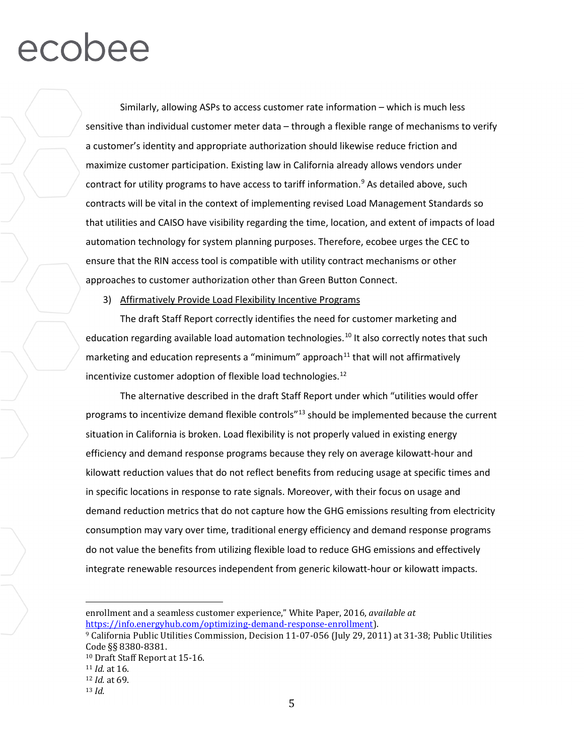Similarly, allowing ASPs to access customer rate information – which is much less sensitive than individual customer meter data – through a flexible range of mechanisms to verify a customer's identity and appropriate authorization should likewise reduce friction and maximize customer participation. Existing law in California already allows vendors under contract for utility programs to have access to tariff information.<sup>[9](#page-5-0)</sup> As detailed above, such contracts will be vital in the context of implementing revised Load Management Standards so that utilities and CAISO have visibility regarding the time, location, and extent of impacts of load automation technology for system planning purposes. Therefore, ecobee urges the CEC to ensure that the RIN access tool is compatible with utility contract mechanisms or other approaches to customer authorization other than Green Button Connect.

#### 3) Affirmatively Provide Load Flexibility Incentive Programs

The draft Staff Report correctly identifies the need for customer marketing and education regarding available load automation technologies.<sup>[10](#page-5-1)</sup> It also correctly notes that such marketing and education represents a "minimum" approach $11$  that will not affirmatively incentivize customer adoption of flexible load technologies. $12$ 

The alternative described in the draft Staff Report under which "utilities would offer programs to incentivize demand flexible controls<sup>"[13](#page-5-4)</sup> should be implemented because the current situation in California is broken. Load flexibility is not properly valued in existing energy efficiency and demand response programs because they rely on average kilowatt-hour and kilowatt reduction values that do not reflect benefits from reducing usage at specific times and in specific locations in response to rate signals. Moreover, with their focus on usage and demand reduction metrics that do not capture how the GHG emissions resulting from electricity consumption may vary over time, traditional energy efficiency and demand response programs do not value the benefits from utilizing flexible load to reduce GHG emissions and effectively integrate renewable resources independent from generic kilowatt-hour or kilowatt impacts.

i<br>I enrollment and a seamless customer experience," White Paper, 2016, *available at* 

<span id="page-5-0"></span>[https://info.energyhub.com/optimizing-demand-response-enrollment\)](https://info.energyhub.com/optimizing-demand-response-enrollment).<br><sup>9</sup> California Public Utilities Commission, Decision 11-07-056 (July 29, 2011) at 31-38; Public Utilities<br>Code §§ 8380-8381.

<span id="page-5-1"></span><sup>&</sup>lt;sup>10</sup> Draft Staff Report at 15-16.

<span id="page-5-3"></span><span id="page-5-2"></span><sup>11</sup> *Id.* at 16.

<sup>12</sup> *Id.* at 69.

<span id="page-5-4"></span><sup>13</sup> *Id.*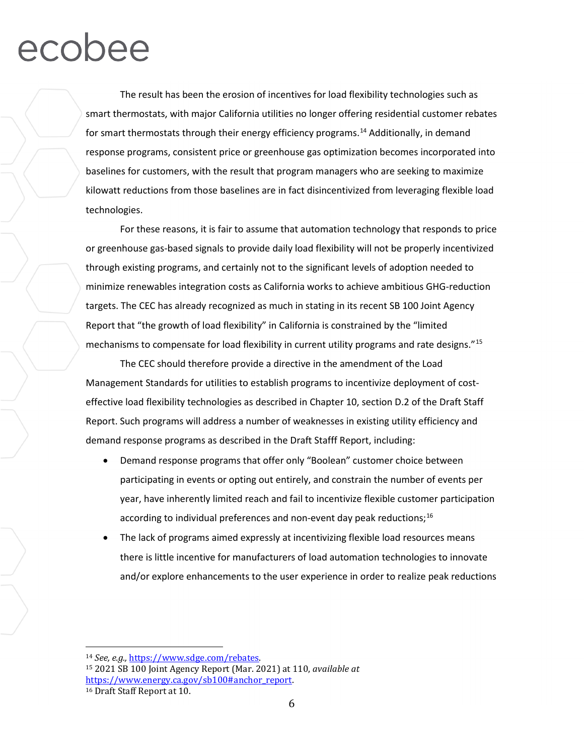The result has been the erosion of incentives for load flexibility technologies such as smart thermostats, with major California utilities no longer offering residential customer rebates for smart thermostats through their energy efficiency programs.<sup>[14](#page-6-0)</sup> Additionally, in demand response programs, consistent price or greenhouse gas optimization becomes incorporated into baselines for customers, with the result that program managers who are seeking to maximize kilowatt reductions from those baselines are in fact disincentivized from leveraging flexible load technologies.

For these reasons, it is fair to assume that automation technology that responds to price or greenhouse gas-based signals to provide daily load flexibility will not be properly incentivized through existing programs, and certainly not to the significant levels of adoption needed to minimize renewables integration costs as California works to achieve ambitious GHG-reduction targets. The CEC has already recognized as much in stating in its recent SB 100 Joint Agency Report that "the growth of load flexibility" in California is constrained by the "limited mechanisms to compensate for load flexibility in current utility programs and rate designs."<sup>[15](#page-6-1)</sup>

The CEC should therefore provide a directive in the amendment of the Load Management Standards for utilities to establish programs to incentivize deployment of costeffective load flexibility technologies as described in Chapter 10, section D.2 of the Draft Staff Report. Such programs will address a number of weaknesses in existing utility efficiency and demand response programs as described in the Draft Stafff Report, including:

- Demand response programs that offer only "Boolean" customer choice between participating in events or opting out entirely, and constrain the number of events per year, have inherently limited reach and fail to incentivize flexible customer participation according to individual preferences and non-event day peak reductions;<sup>[16](#page-6-2)</sup>
- The lack of programs aimed expressly at incentivizing flexible load resources means there is little incentive for manufacturers of load automation technologies to innovate and/or explore enhancements to the user experience in order to realize peak reductions

<span id="page-6-1"></span><span id="page-6-0"></span> <sup>14</sup> *See, e.g.,* [https://www.sdge.com/rebates.](https://www.sdge.com/rebates)

<span id="page-6-2"></span><sup>15</sup> 2021 SB 100 Joint Agency Report (Mar. 2021) at 110, *available at* [https://www.energy.ca.gov/sb100#anchor\\_report.](https://www.energy.ca.gov/sb100%23anchor_report) <sup>16</sup> Draft Staff Report at 10.

<sup>6</sup>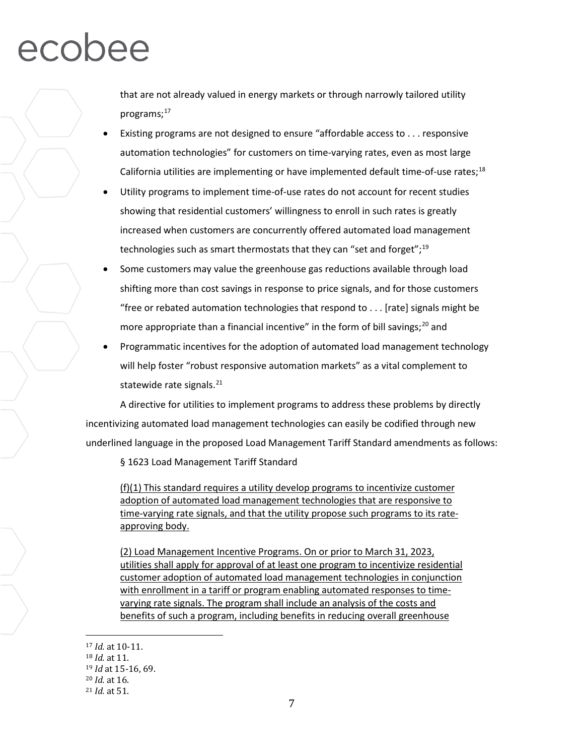that are not already valued in energy markets or through narrowly tailored utility programs; [17](#page-7-0)

- Existing programs are not designed to ensure "affordable access to . . . responsive automation technologies" for customers on time-varying rates, even as most large California utilities are implementing or have implemented default time-of-use rates;<sup>[18](#page-7-1)</sup>
- Utility programs to implement time-of-use rates do not account for recent studies showing that residential customers' willingness to enroll in such rates is greatly increased when customers are concurrently offered automated load management technologies such as smart thermostats that they can "set and forget";<sup>[19](#page-7-2)</sup>
- Some customers may value the greenhouse gas reductions available through load shifting more than cost savings in response to price signals, and for those customers "free or rebated automation technologies that respond to . . . [rate] signals might be more appropriate than a financial incentive" in the form of bill savings;<sup>[20](#page-7-3)</sup> and
- Programmatic incentives for the adoption of automated load management technology will help foster "robust responsive automation markets" as a vital complement to statewide rate signals. $^{21}$

A directive for utilities to implement programs to address these problems by directly incentivizing automated load management technologies can easily be codified through new underlined language in the proposed Load Management Tariff Standard amendments as follows:

§ 1623 Load Management Tariff Standard

(f)(1) This standard requires a utility develop programs to incentivize customer adoption of automated load management technologies that are responsive to time-varying rate signals, and that the utility propose such programs to its rateapproving body.

(2) Load Management Incentive Programs. On or prior to March 31, 2023, utilities shall apply for approval of at least one program to incentivize residential customer adoption of automated load management technologies in conjunction with enrollment in a tariff or program enabling automated responses to timevarying rate signals. The program shall include an analysis of the costs and benefits of such a program, including benefits in reducing overall greenhouse

<span id="page-7-1"></span><span id="page-7-0"></span> <sup>17</sup> *Id.* at 10-11.

<sup>18</sup> *Id.* at 11.

<span id="page-7-2"></span><sup>19</sup> *Id* at 15-16, 69.

<span id="page-7-3"></span><sup>20</sup> *Id.* at 16.

<span id="page-7-4"></span><sup>21</sup> *Id.* at 51.